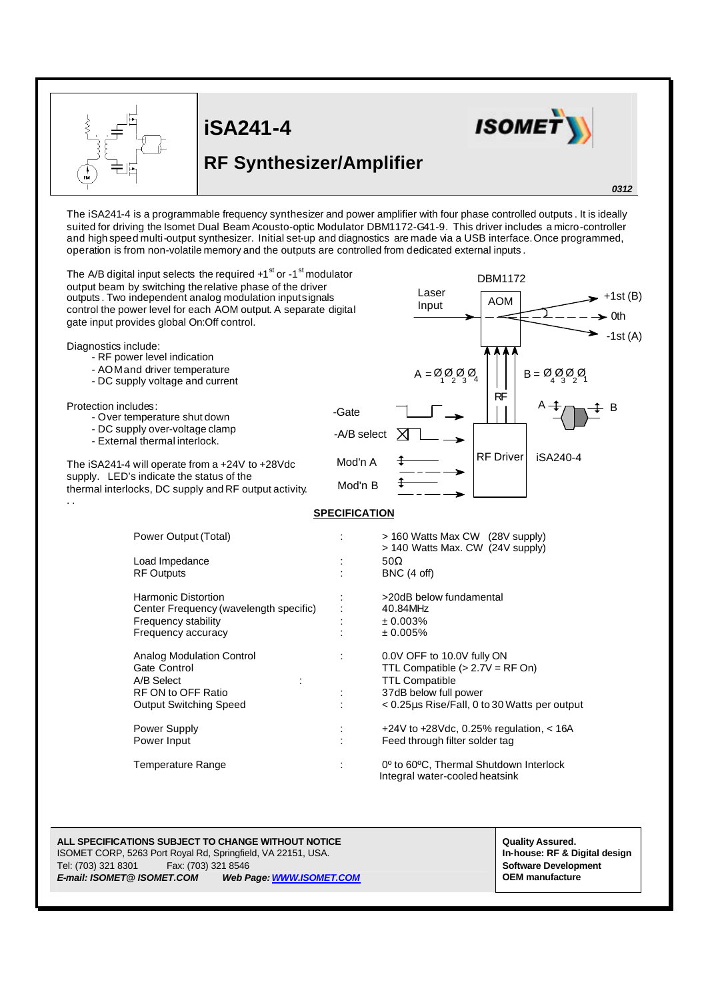|                                                                                                                                                                                                                                                                                                                                    | <b>iSA241-4</b><br><b>RF Synthesizer/Amplifier</b> |                                                                                                                  |                                                                                                                           | <b>ISOME</b>                                                                                                                                                                                                                                                                                                                                                                   |
|------------------------------------------------------------------------------------------------------------------------------------------------------------------------------------------------------------------------------------------------------------------------------------------------------------------------------------|----------------------------------------------------|------------------------------------------------------------------------------------------------------------------|---------------------------------------------------------------------------------------------------------------------------|--------------------------------------------------------------------------------------------------------------------------------------------------------------------------------------------------------------------------------------------------------------------------------------------------------------------------------------------------------------------------------|
|                                                                                                                                                                                                                                                                                                                                    |                                                    |                                                                                                                  |                                                                                                                           | 0312                                                                                                                                                                                                                                                                                                                                                                           |
| operation is from non-volatile memory and the outputs are controlled from dedicated external inputs.                                                                                                                                                                                                                               |                                                    |                                                                                                                  |                                                                                                                           | The iSA241-4 is a programmable frequency synthesizer and power amplifier with four phase controlled outputs. It is ideally<br>suited for driving the Isomet Dual Beam Acousto-optic Modulator DBM1172-G41-9. This driver includes a micro-controller<br>and high speed multi-output synthesizer. Initial set-up and diagnostics are made via a USB interface. Once programmed, |
| The A/B digital input selects the required +1 <sup>st</sup> or -1 <sup>st</sup> modulator<br>output beam by switching the relative phase of the driver<br>outputs. Two independent analog modulation inputsignals<br>control the power level for each AOM output. A separate digital<br>gate input provides global On:Off control. |                                                    |                                                                                                                  | Laser<br>Input                                                                                                            | <b>DBM1172</b><br>$+1st(B)$<br><b>AOM</b><br>- 0th                                                                                                                                                                                                                                                                                                                             |
| Diagnostics include:<br>- RF power level indication<br>- AOM and driver temperature<br>- DC supply voltage and current                                                                                                                                                                                                             |                                                    |                                                                                                                  | $A = \mathcal{Q}_1 \mathcal{Q}_2 \mathcal{Q}_3 \mathcal{Q}_4$                                                             | -1st (A)<br>B = Ø Ø Ø Ø<br>RF                                                                                                                                                                                                                                                                                                                                                  |
| Protection includes:<br>- Over temperature shut down<br>- DC supply over-voltage clamp<br>- External thermal interlock.                                                                                                                                                                                                            |                                                    | -Gate<br>-A/B select                                                                                             |                                                                                                                           |                                                                                                                                                                                                                                                                                                                                                                                |
| The iSA241-4 will operate from a +24V to +28Vdc<br>supply. LED's indicate the status of the<br>thermal interlocks, DC supply and RF output activity.                                                                                                                                                                               |                                                    | Mod'n A<br>Mod'n B                                                                                               |                                                                                                                           | <b>RF</b> Driver<br>iSA240-4                                                                                                                                                                                                                                                                                                                                                   |
|                                                                                                                                                                                                                                                                                                                                    |                                                    | <b>SPECIFICATION</b>                                                                                             |                                                                                                                           |                                                                                                                                                                                                                                                                                                                                                                                |
| Power Output (Total)                                                                                                                                                                                                                                                                                                               |                                                    | > 160 Watts Max CW (28V supply)<br>> 140 Watts Max. CW (24V supply)                                              |                                                                                                                           |                                                                                                                                                                                                                                                                                                                                                                                |
| Load Impedance<br><b>RF Outputs</b>                                                                                                                                                                                                                                                                                                |                                                    |                                                                                                                  | $50\Omega$<br>BNC (4 off)                                                                                                 |                                                                                                                                                                                                                                                                                                                                                                                |
| <b>Harmonic Distortion</b><br>Center Frequency (wavelength specific)<br>Frequency stability<br>Frequency accuracy                                                                                                                                                                                                                  |                                                    |                                                                                                                  | >20dB below fundamental<br>40.84MHz<br>± 0.003%<br>± 0.005%                                                               |                                                                                                                                                                                                                                                                                                                                                                                |
| <b>Analog Modulation Control</b><br>Gate Control<br>A/B Select<br>÷<br>RF ON to OFF Ratio                                                                                                                                                                                                                                          |                                                    | 0.0V OFF to 10.0V fully ON<br>TTL Compatible $(>2.7V = RF$ On)<br><b>TTL Compatible</b><br>37dB below full power |                                                                                                                           |                                                                                                                                                                                                                                                                                                                                                                                |
| <b>Output Switching Speed</b><br>Power Supply<br>Power Input                                                                                                                                                                                                                                                                       |                                                    |                                                                                                                  | < 0.25µs Rise/Fall, 0 to 30 Watts per output<br>+24V to +28Vdc, 0.25% regulation, < 16A<br>Feed through filter solder tag |                                                                                                                                                                                                                                                                                                                                                                                |
| <b>Temperature Range</b>                                                                                                                                                                                                                                                                                                           |                                                    |                                                                                                                  | 0° to 60°C, Thermal Shutdown Interlock<br>Integral water-cooled heatsink                                                  |                                                                                                                                                                                                                                                                                                                                                                                |
|                                                                                                                                                                                                                                                                                                                                    |                                                    |                                                                                                                  |                                                                                                                           |                                                                                                                                                                                                                                                                                                                                                                                |
| ALL SPECIFICATIONS SUBJECT TO CHANGE WITHOUT NOTICE<br>ISOMET CORP, 5263 Port Royal Rd, Springfield, VA 22151, USA.<br>Tel: (703) 321 8301                                                                                                                                                                                         | Fax: (703) 321 8546<br>Web Page. WWW.ISOMET.COM    |                                                                                                                  |                                                                                                                           | <b>Quality Assured.</b><br>In-house: RF & Digital design<br><b>Software Development</b><br><b>OEM</b> manufacture                                                                                                                                                                                                                                                              |